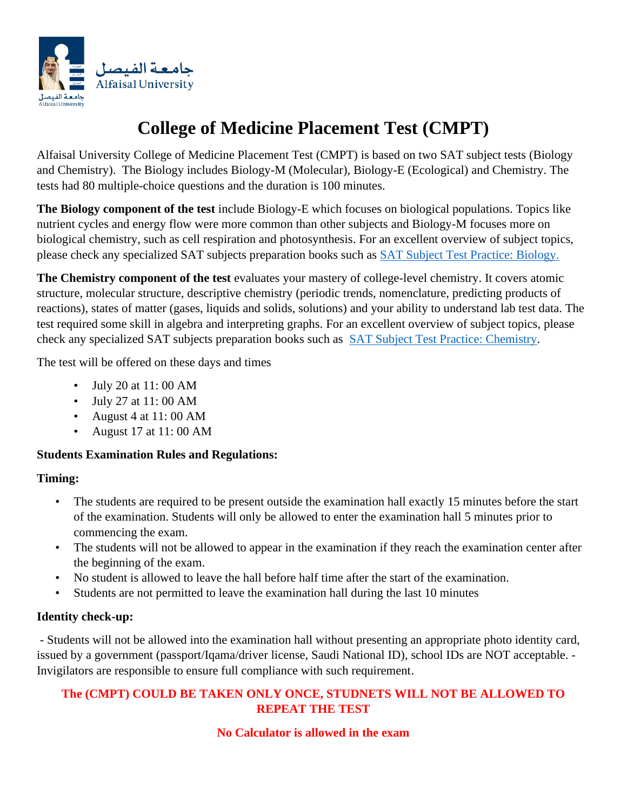

# **College of Medicine Placement Test (CMPT)**

Alfaisal University College of Medicine Placement Test (CMPT) is based on two SAT subject tests (Biology and Chemistry). The Biology includes Biology-M (Molecular), Biology-E (Ecological) and Chemistry. The tests had 80 multiple-choice questions and the duration is 100 minutes.

**The Biology component of the test** include Biology-E which focuses on biological populations. Topics like nutrient cycles and energy flow were more common than other subjects and Biology-M focuses more on biological chemistry, such as cell respiration and photosynthesis. For an excellent overview of subject topics, please check any specialized SAT subjects preparation books such as [SAT Subject Test Practice: Biology.](https://www.jarir.com/sa-en/holtzbrinck-publishing-group-english-books-485368.html)

**The Chemistry component of the test** evaluates your mastery of college-level chemistry. It covers atomic structure, molecular structure, descriptive chemistry (periodic trends, nomenclature, predicting products of reactions), states of matter (gases, liquids and solids, solutions) and your ability to understand lab test data. The test required some skill in algebra and interpreting graphs. For an excellent overview of subject topics, please check any specialized SAT subjects preparation books such as [SAT Subject Test Practice: Chemistry.](https://www.jarir.com/sa-en/holtzbrinck-publishing-group-english-books-485369.html)

The test will be offered on these days and times

- July 20 at 11: 00 AM
- July 27 at 11: 00 AM
- August 4 at 11: 00 AM
- August 17 at 11: 00 AM

## **Students Examination Rules and Regulations:**

## **Timing:**

- The students are required to be present outside the examination hall exactly 15 minutes before the start of the examination. Students will only be allowed to enter the examination hall 5 minutes prior to commencing the exam.
- The students will not be allowed to appear in the examination if they reach the examination center after the beginning of the exam.
- No student is allowed to leave the hall before half time after the start of the examination.
- Students are not permitted to leave the examination hall during the last 10 minutes

## **Identity check-up:**

- Students will not be allowed into the examination hall without presenting an appropriate photo identity card, issued by a government (passport/Iqama/driver license, Saudi National ID), school IDs are NOT acceptable. - Invigilators are responsible to ensure full compliance with such requirement.

## **The (CMPT) COULD BE TAKEN ONLY ONCE, STUDNETS WILL NOT BE ALLOWED TO REPEAT THE TEST**

## **No Calculator is allowed in the exam**